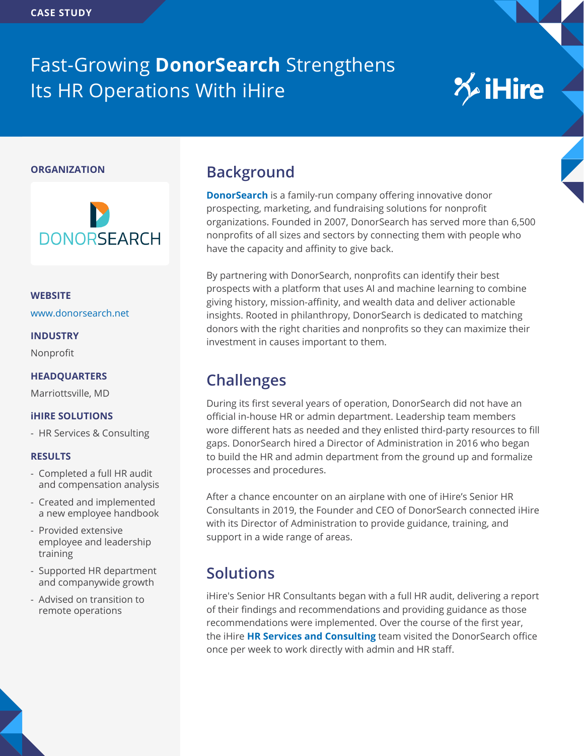## Fast-Growing **DonorSearch** Strengthens Its HR Operations With iHire

# **X**iHire

#### **ORGANIZATION**



**WEBSITE** [www.donorsearch.net](https://www.donorsearch.net)

**INDUSTRY**

Nonprofit

#### **HEADQUARTERS**

Marriottsville, MD

#### **iHIRE SOLUTIONS**

- HR Services & Consulting

#### **RESULTS**

- Completed a full HR audit and compensation analysis
- Created and implemented a new employee handbook
- Provided extensive employee and leadership training
- Supported HR department and companywide growth
- Advised on transition to remote operations

### **Background**

**[DonorSearch](https://www.donorsearch.net)** is a family-run company offering innovative donor prospecting, marketing, and fundraising solutions for nonprofit organizations. Founded in 2007, DonorSearch has served more than 6,500 nonprofits of all sizes and sectors by connecting them with people who have the capacity and affinity to give back.

By partnering with DonorSearch, nonprofits can identify their best prospects with a platform that uses AI and machine learning to combine giving history, mission-affinity, and wealth data and deliver actionable insights. Rooted in philanthropy, DonorSearch is dedicated to matching donors with the right charities and nonprofits so they can maximize their investment in causes important to them.

## **Challenges**

During its first several years of operation, DonorSearch did not have an official in-house HR or admin department. Leadership team members wore different hats as needed and they enlisted third-party resources to fill gaps. DonorSearch hired a Director of Administration in 2016 who began to build the HR and admin department from the ground up and formalize processes and procedures.

After a chance encounter on an airplane with one of iHire's Senior HR Consultants in 2019, the Founder and CEO of DonorSearch connected iHire with its Director of Administration to provide guidance, training, and support in a wide range of areas.

## **Solutions**

iHire's Senior HR Consultants began with a full HR audit, delivering a report of their findings and recommendations and providing guidance as those recommendations were implemented. Over the course of the first year, the iHire **[HR Services and Consulting](https://www.ihire.com/employerlp/human-resources-services-consulting)** team visited the DonorSearch office once per week to work directly with admin and HR staff.